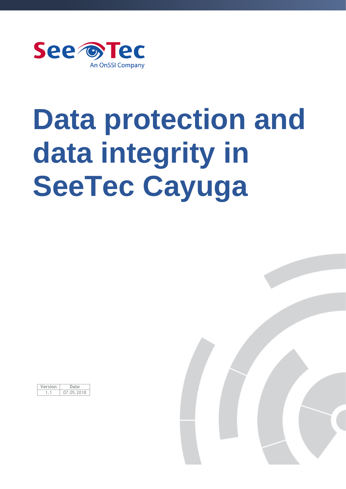

# **Data protection and data integrity in SeeTec Cayuga**

| ersion |           |
|--------|-----------|
|        | (1)<br>۰. |

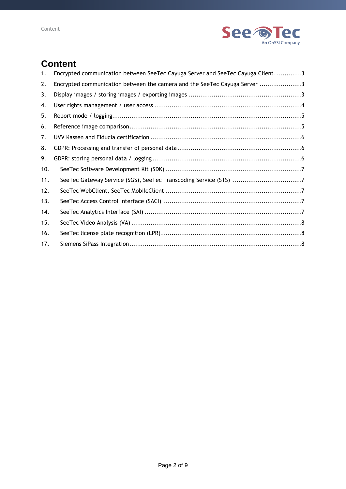

# **Content**

| 1.  | Encrypted communication between SeeTec Cayuga Server and SeeTec Cayuga Client3 |
|-----|--------------------------------------------------------------------------------|
| 2.  | Encrypted communication between the camera and the SeeTec Cayuga Server 3      |
| 3.  |                                                                                |
| 4.  |                                                                                |
| 5.  |                                                                                |
| 6.  |                                                                                |
| 7.  |                                                                                |
| 8.  |                                                                                |
| 9.  |                                                                                |
| 10. |                                                                                |
| 11. |                                                                                |
| 12. |                                                                                |
| 13. |                                                                                |
| 14. |                                                                                |
| 15. |                                                                                |
| 16. |                                                                                |
| 17. |                                                                                |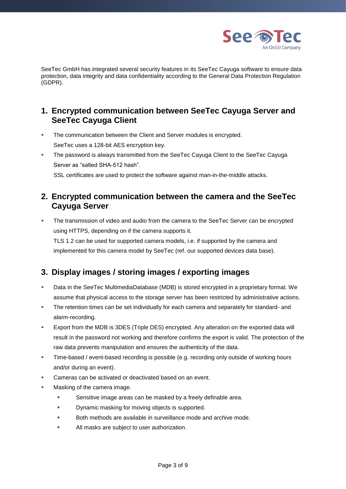

SeeTec GmbH has integrated several security features in its SeeTec Cayuga software to ensure data protection, data integrity and data confidentiality according to the General Data Protection Regulation (GDPR).

#### <span id="page-2-0"></span>**1. Encrypted communication between SeeTec Cayuga Server and SeeTec Cayuga Client**

- **EXECT** The communication between the Client and Server modules is encrypted. SeeTec uses a 128-bit AES encryption key.
- The password is always transmitted from the SeeTec Cayuga Client to the SeeTec Cayuga Server as "salted SHA-512 hash".

SSL certificates are used to protect the software against man-in-the-middle attacks.

#### <span id="page-2-1"></span>**2. Encrypted communication between the camera and the SeeTec Cayuga Server**

The transmission of video and audio from the camera to the SeeTec Server can be encrypted using HTTPS, depending on if the camera supports it.

TLS 1.2 can be used for supported camera models, i.e. if supported by the camera and implemented for this camera model by SeeTec (ref. our supported devices data base).

# <span id="page-2-2"></span>**3. Display images / storing images / exporting images**

- Data in the SeeTec MultimediaDatabase (MDB) is stored encrypted in a proprietary format. We assume that physical access to the storage server has been restricted by administrative actions.
- **•** The retention times can be set individually for each camera and separately for standard- and alarm-recording.
- **EXPORT FROM THE MUST IS 200 ESS (Triple DES) encrypted. Any alteration on the exported data will** result in the password not working and therefore confirms the export is valid. The protection of the raw data prevents manipulation and ensures the authenticity of the data.
- **.** Time-based / event-based recording is possible (e.g. recording only outside of working hours and/or during an event).
- Cameras can be activated or deactivated based on an event.
- Masking of the camera image.
	- Sensitive image areas can be masked by a freely definable area.
	- Dynamic masking for moving objects is supported.
	- Both methods are available in surveillance mode and archive mode.
	- All masks are subject to user authorization.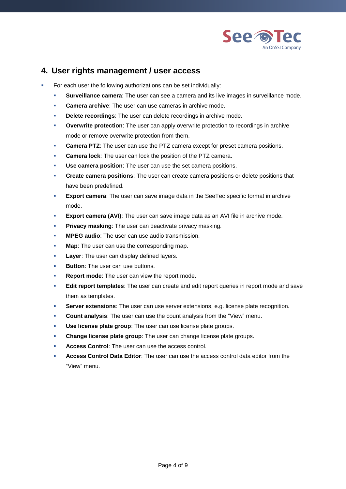

#### <span id="page-3-0"></span>**4. User rights management / user access**

- For each user the following authorizations can be set individually:
	- **EXECT** Surveillance camera: The user can see a camera and its live images in surveillance mode.
	- **Camera archive:** The user can use cameras in archive mode.
	- **Delete recordings:** The user can delete recordings in archive mode.
	- **Overwrite protection:** The user can apply overwrite protection to recordings in archive mode or remove overwrite protection from them.
	- **Camera PTZ:** The user can use the PTZ camera except for preset camera positions.
	- **Camera lock:** The user can lock the position of the PTZ camera.
	- **Use camera position**: The user can use the set camera positions.
	- **Create camera positions:** The user can create camera positions or delete positions that have been predefined.
	- **Export camera:** The user can save image data in the SeeTec specific format in archive mode.
	- **Export camera (AVI)**: The user can save image data as an AVI file in archive mode.
	- **Privacy masking:** The user can deactivate privacy masking.
	- **MPEG audio:** The user can use audio transmission.
	- **Map**: The user can use the corresponding map.
	- **Layer**: The user can display defined layers.
	- **Button:** The user can use buttons.
	- **Report mode:** The user can view the report mode.
	- **Edit report templates**: The user can create and edit report queries in report mode and save them as templates.
	- **Server extensions**: The user can use server extensions, e.g. license plate recognition.
	- **Count analysis:** The user can use the count analysis from the "View" menu.
	- **Use license plate group**: The user can use license plate groups.
	- **Change license plate group**: The user can change license plate groups.
	- Access Control: The user can use the access control.
	- **Access Control Data Editor:** The user can use the access control data editor from the "View" menu.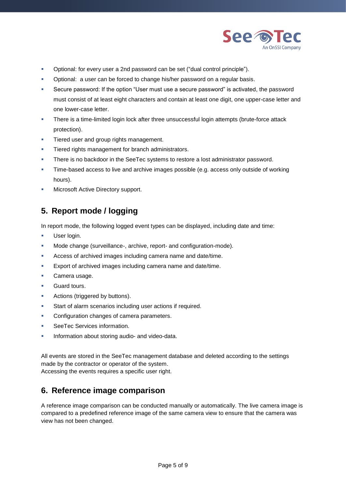

- Optional: for every user a 2nd password can be set ("dual control principle").
- **•** Optional: a user can be forced to change his/her password on a regular basis.
- Secure password: If the option "User must use a secure password" is activated, the password must consist of at least eight characters and contain at least one digit, one upper-case letter and one lower-case letter.
- **•** There is a time-limited login lock after three unsuccessful login attempts (brute-force attack protection).
- **•** Tiered user and group rights management.
- **·** Tiered rights management for branch administrators.
- **·** There is no backdoor in the SeeTec systems to restore a lost administrator password.
- Time-based access to live and archive images possible (e.g. access only outside of working hours).
- Microsoft Active Directory support.

#### <span id="page-4-0"></span>**5. Report mode / logging**

In report mode, the following logged event types can be displayed, including date and time:

- **■** User login.
- Mode change (surveillance-, archive, report- and configuration-mode).
- Access of archived images including camera name and date/time.
- **Export of archived images including camera name and date/time.**
- Camera usage.
- **Guard tours.**
- Actions (triggered by buttons).
- Start of alarm scenarios including user actions if required.
- Configuration changes of camera parameters.
- SeeTec Services information.
- **·** Information about storing audio- and video-data.

All events are stored in the SeeTec management database and deleted according to the settings made by the contractor or operator of the system. Accessing the events requires a specific user right.

#### <span id="page-4-1"></span>**6. Reference image comparison**

A reference image comparison can be conducted manually or automatically. The live camera image is compared to a predefined reference image of the same camera view to ensure that the camera was view has not been changed.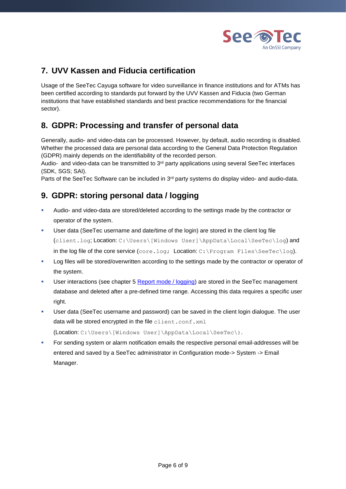

# <span id="page-5-0"></span>**7. UVV Kassen and Fiducia certification**

Usage of the SeeTec Cayuga software for video surveillance in finance institutions and for ATMs has been certified according to standards put forward by the UVV Kassen and Fiducia (two German institutions that have established standards and best practice recommendations for the financial sector).

# <span id="page-5-1"></span>**8. GDPR: Processing and transfer of personal data**

Generally, audio- and video-data can be processed. However, by default, audio recording is disabled. Whether the processed data are personal data according to the General Data Protection Regulation (GDPR) mainly depends on the identifiability of the recorded person.

Audio- and video-data can be transmitted to 3<sup>rd</sup> party applications using several SeeTec interfaces (SDK, SGS; SAI).

Parts of the SeeTec Software can be included in 3<sup>rd</sup> party systems do display video- and audio-data.

#### <span id="page-5-2"></span>**9. GDPR: storing personal data / logging**

- Audio- and video-data are stored/deleted according to the settings made by the contractor or operator of the system.
- User data (SeeTec username and date/time of the login) are stored in the client log file (client.log; Location: C:\Users\[Windows User]\AppData\Local\SeeTec\log) and in the log file of the core service  $(\text{core.log}; \text{Location}: C:\\$  Program Files\SeeTec\log).
- **Log files will be stored/overwritten according to the settings made by the contractor or operator of** the system.
- **■** User interactions (see chapter 5 [Report mode / logging\)](#page-4-0) are stored in the SeeTec management database and deleted after a pre-defined time range. Accessing this data requires a specific user right.
- User data (SeeTec username and password) can be saved in the client login dialogue. The user data will be stored encrypted in the file client.conf.xml (Location: C:\Users\[Windows User]\AppData\Local\SeeTec\).
- **For sending system or alarm notification emails the respective personal email-addresses will be** entered and saved by a SeeTec administrator in Configuration mode-> System -> Email Manager.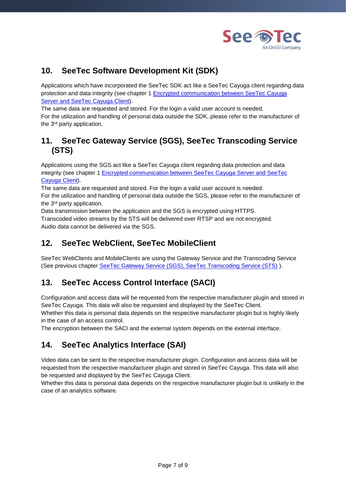

#### <span id="page-6-0"></span>**10. SeeTec Software Development Kit (SDK)**

Applications which have incorporated the SeeTec SDK act like a SeeTec Cayuga client regarding data protection and data integrity (see chapter 1 [Encrypted communication between SeeTec Cayuga](#page-2-0)  [Server and SeeTec Cayuga Client\)](#page-2-0).

The same data are requested and stored. For the login a valid user account is needed. For the utilization and handling of personal data outside the SDK, please refer to the manufacturer of the 3rd party application.

#### <span id="page-6-1"></span>**11. SeeTec Gateway Service (SGS), SeeTec Transcoding Service (STS)**

Applications using the SGS act like a SeeTec Cayuga client regarding data protection and data integrity (see chapter 1 [Encrypted communication between SeeTec Cayuga Server and SeeTec](#page-2-0)  [Cayuga Client\)](#page-2-0).

The same data are requested and stored. For the login a valid user account is needed. For the utilization and handling of personal data outside the SGS, please refer to the manufacturer of the 3rd party application.

Data transmission between the application and the SGS is encrypted using HTTPS. Transcoded video streams by the STS will be delivered over RTSP and are not encrypted. Audio data cannot be delivered via the SGS.

#### <span id="page-6-2"></span>**12. SeeTec WebClient, SeeTec MobileClient**

SeeTec WebClients and MobileClients are using the Gateway Service and the Transcoding Service (See previous chapter [SeeTec Gateway Service \(SGS\), SeeTec Transcoding Service \(STS\)](#page-6-1) ).

# <span id="page-6-3"></span>**13. SeeTec Access Control Interface (SACI)**

Configuration and access data will be requested from the respective manufacturer plugin and stored in SeeTec Cayuga. This data will also be requested and displayed by the SeeTec Client. Whether this data is personal data depends on the respective manufacturer plugin but is highly likely in the case of an access control.

The encryption between the SACI and the external system depends on the external interface.

#### <span id="page-6-4"></span>**14. SeeTec Analytics Interface (SAI)**

Video data can be sent to the respective manufacturer plugin. Configuration and access data will be requested from the respective manufacturer plugin and stored in SeeTec Cayuga. This data will also be requested and displayed by the SeeTec Cayuga Client.

Whether this data is personal data depends on the respective manufacturer plugin but is unlikely in the case of an analytics software.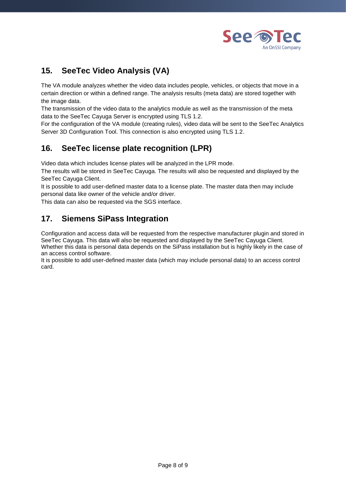

## <span id="page-7-0"></span>**15. SeeTec Video Analysis (VA)**

The VA module analyzes whether the video data includes people, vehicles, or objects that move in a certain direction or within a defined range. The analysis results (meta data) are stored together with the image data.

The transmission of the video data to the analytics module as well as the transmission of the meta data to the SeeTec Cayuga Server is encrypted using TLS 1.2.

For the configuration of the VA module (creating rules), video data will be sent to the SeeTec Analytics Server 3D Configuration Tool. This connection is also encrypted using TLS 1.2.

#### <span id="page-7-1"></span>**16. SeeTec license plate recognition (LPR)**

Video data which includes license plates will be analyzed in the LPR mode.

The results will be stored in SeeTec Cayuga. The results will also be requested and displayed by the SeeTec Cayuga Client.

It is possible to add user-defined master data to a license plate. The master data then may include personal data like owner of the vehicle and/or driver.

This data can also be requested via the SGS interface.

#### <span id="page-7-2"></span>**17. Siemens SiPass Integration**

Configuration and access data will be requested from the respective manufacturer plugin and stored in SeeTec Cayuga. This data will also be requested and displayed by the SeeTec Cayuga Client. Whether this data is personal data depends on the SiPass installation but is highly likely in the case of an access control software.

It is possible to add user-defined master data (which may include personal data) to an access control card.